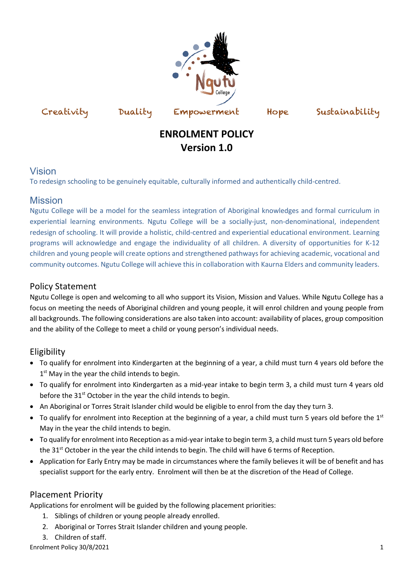

Creativity Duality Empowerment Hope Sustainability

# **ENROLMENT POLICY Version 1.0**

#### Vision

To redesign schooling to be genuinely equitable, culturally informed and authentically child-centred.

# Mission

Ngutu College will be a model for the seamless integration of Aboriginal knowledges and formal curriculum in experiential learning environments. Ngutu College will be a socially-just, non-denominational, independent redesign of schooling. It will provide a holistic, child-centred and experiential educational environment. Learning programs will acknowledge and engage the individuality of all children. A diversity of opportunities for K-12 children and young people will create options and strengthened pathways for achieving academic, vocational and community outcomes. Ngutu College will achieve this in collaboration with Kaurna Elders and community leaders.

# Policy Statement

Ngutu College is open and welcoming to all who support its Vision, Mission and Values. While Ngutu College has a focus on meeting the needs of Aboriginal children and young people, it will enrol children and young people from all backgrounds. The following considerations are also taken into account: availability of places, group composition and the ability of the College to meet a child or young person's individual needs.

# Eligibility

- To qualify for enrolment into Kindergarten at the beginning of a year, a child must turn 4 years old before the  $1<sup>st</sup>$  May in the year the child intends to begin.
- To qualify for enrolment into Kindergarten as a mid-year intake to begin term 3, a child must turn 4 years old before the 31<sup>st</sup> October in the year the child intends to begin.
- An Aboriginal or Torres Strait Islander child would be eligible to enrol from the day they turn 3.
- To qualify for enrolment into Reception at the beginning of a year, a child must turn 5 years old before the  $1<sup>st</sup>$ May in the year the child intends to begin.
- To qualify for enrolment into Reception as a mid-year intake to begin term 3, a child must turn 5 years old before the 31<sup>st</sup> October in the year the child intends to begin. The child will have 6 terms of Reception.
- Application for Early Entry may be made in circumstances where the family believes it will be of benefit and has specialist support for the early entry. Enrolment will then be at the discretion of the Head of College.

# Placement Priority

Applications for enrolment will be guided by the following placement priorities:

- 1. Siblings of children or young people already enrolled.
- 2. Aboriginal or Torres Strait Islander children and young people.
- 3. Children of staff.

Enrolment Policy 30/8/2021 2008 2009 12:00:00 12:00:00 12:00:00 12:00:00 12:00:00 12:00:00 12:00:00 12:00:00 12:00:00 12:00:00 12:00:00 12:00:00 12:00:00 12:00:00 12:00:00 12:00:00 12:00:00 12:00:00 12:00:00 12:00:00 12:00